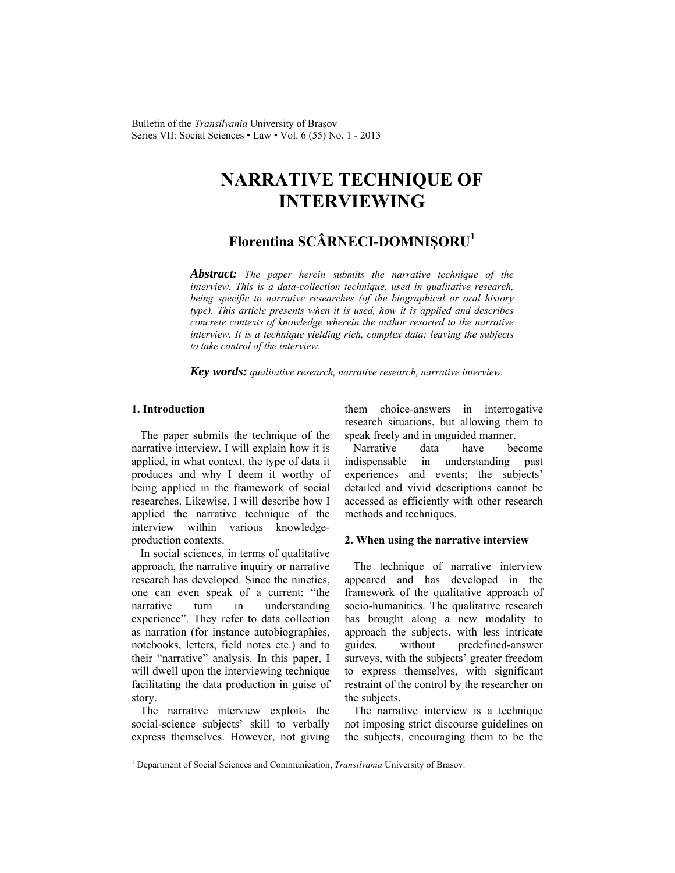Bulletin of the *Transilvania* University of Braşov Series VII: Social Sciences • Law • Vol. 6 (55) No. 1 - 2013

# **NARRATIVE TECHNIQUE OF INTERVIEWING**

# **Florentina SCÂRNECI-DOMNIŞORU1**

*Abstract: The paper herein submits the narrative technique of the interview. This is a data-collection technique, used in qualitative research, being specific to narrative researches (of the biographical or oral history type). This article presents when it is used, how it is applied and describes concrete contexts of knowledge wherein the author resorted to the narrative interview. It is a technique yielding rich, complex data; leaving the subjects to take control of the interview.* 

*Key words: qualitative research, narrative research, narrative interview.* 

## **1. Introduction**

 $\overline{\phantom{a}}$ 

The paper submits the technique of the narrative interview. I will explain how it is applied, in what context, the type of data it produces and why I deem it worthy of being applied in the framework of social researches. Likewise, I will describe how I applied the narrative technique of the interview within various knowledgeproduction contexts.

In social sciences, in terms of qualitative approach, the narrative inquiry or narrative research has developed. Since the nineties, one can even speak of a current: "the narrative turn in understanding experience". They refer to data collection as narration (for instance autobiographies, notebooks, letters, field notes etc.) and to their "narrative" analysis. In this paper, I will dwell upon the interviewing technique facilitating the data production in guise of story.

The narrative interview exploits the social-science subjects' skill to verbally express themselves. However, not giving them choice-answers in interrogative research situations, but allowing them to speak freely and in unguided manner.

Narrative data have become indispensable in understanding past experiences and events; the subjects' detailed and vivid descriptions cannot be accessed as efficiently with other research methods and techniques.

#### **2. When using the narrative interview**

The technique of narrative interview appeared and has developed in the framework of the qualitative approach of socio-humanities. The qualitative research has brought along a new modality to approach the subjects, with less intricate guides, without predefined-answer surveys, with the subjects' greater freedom to express themselves, with significant restraint of the control by the researcher on the subjects.

The narrative interview is a technique not imposing strict discourse guidelines on the subjects, encouraging them to be the

<sup>&</sup>lt;sup>1</sup> Department of Social Sciences and Communication, *Transilvania* University of Brasov.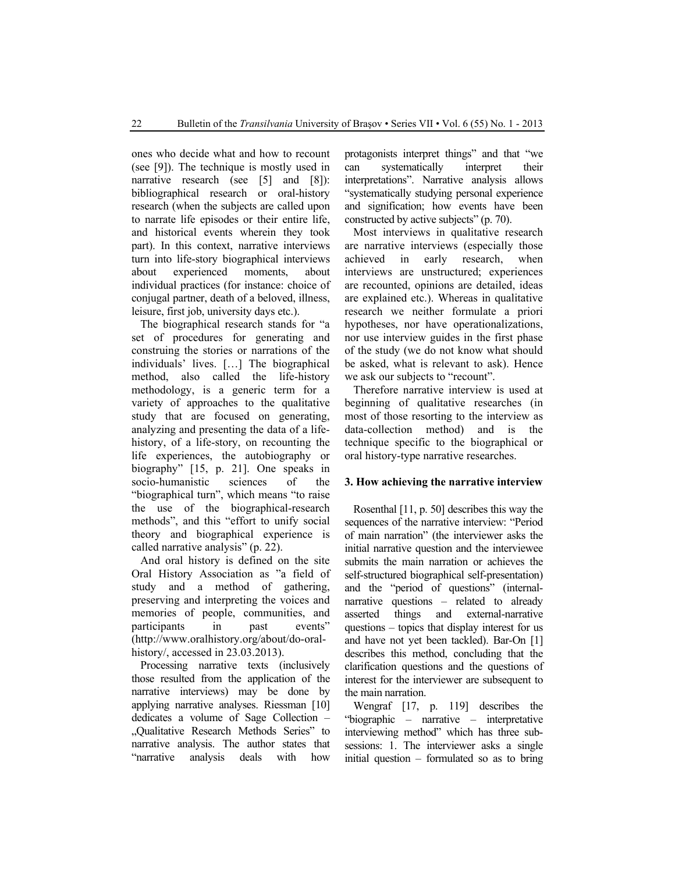ones who decide what and how to recount (see [9]). The technique is mostly used in narrative research (see [5] and [8]): bibliographical research or oral-history research (when the subjects are called upon to narrate life episodes or their entire life, and historical events wherein they took part). In this context, narrative interviews turn into life-story biographical interviews about experienced moments, about individual practices (for instance: choice of conjugal partner, death of a beloved, illness, leisure, first job, university days etc.).

The biographical research stands for "a set of procedures for generating and construing the stories or narrations of the individuals' lives. […] The biographical method, also called the life-history methodology, is a generic term for a variety of approaches to the qualitative study that are focused on generating, analyzing and presenting the data of a lifehistory, of a life-story, on recounting the life experiences, the autobiography or biography" [15, p. 21]. One speaks in socio-humanistic sciences of the "biographical turn", which means "to raise the use of the biographical-research methods", and this "effort to unify social theory and biographical experience is called narrative analysis" (p. 22).

And oral history is defined on the site Oral History Association as "a field of study and a method of gathering, preserving and interpreting the voices and memories of people, communities, and participants in past events" (http://www.oralhistory.org/about/do-oralhistory/, accessed in 23.03.2013).

Processing narrative texts (inclusively those resulted from the application of the narrative interviews) may be done by applying narrative analyses. Riessman [10] dedicates a volume of Sage Collection – "Qualitative Research Methods Series" to narrative analysis. The author states that "narrative analysis deals with how "narrative analysis deals with how protagonists interpret things" and that "we can systematically interpret their interpretations". Narrative analysis allows "systematically studying personal experience and signification; how events have been constructed by active subjects" (p. 70).

Most interviews in qualitative research are narrative interviews (especially those achieved in early research, when interviews are unstructured; experiences are recounted, opinions are detailed, ideas are explained etc.). Whereas in qualitative research we neither formulate a priori hypotheses, nor have operationalizations, nor use interview guides in the first phase of the study (we do not know what should be asked, what is relevant to ask). Hence we ask our subjects to "recount".

Therefore narrative interview is used at beginning of qualitative researches (in most of those resorting to the interview as data-collection method) and is the technique specific to the biographical or oral history-type narrative researches.

#### **3. How achieving the narrative interview**

Rosenthal [11, p. 50] describes this way the sequences of the narrative interview: "Period of main narration" (the interviewer asks the initial narrative question and the interviewee submits the main narration or achieves the self-structured biographical self-presentation) and the "period of questions" (internalnarrative questions – related to already asserted things and external-narrative questions – topics that display interest for us and have not yet been tackled). Bar-On [1] describes this method, concluding that the clarification questions and the questions of interest for the interviewer are subsequent to the main narration.

Wengraf [17, p. 119] describes the "biographic – narrative – interpretative interviewing method" which has three subsessions: 1. The interviewer asks a single initial question – formulated so as to bring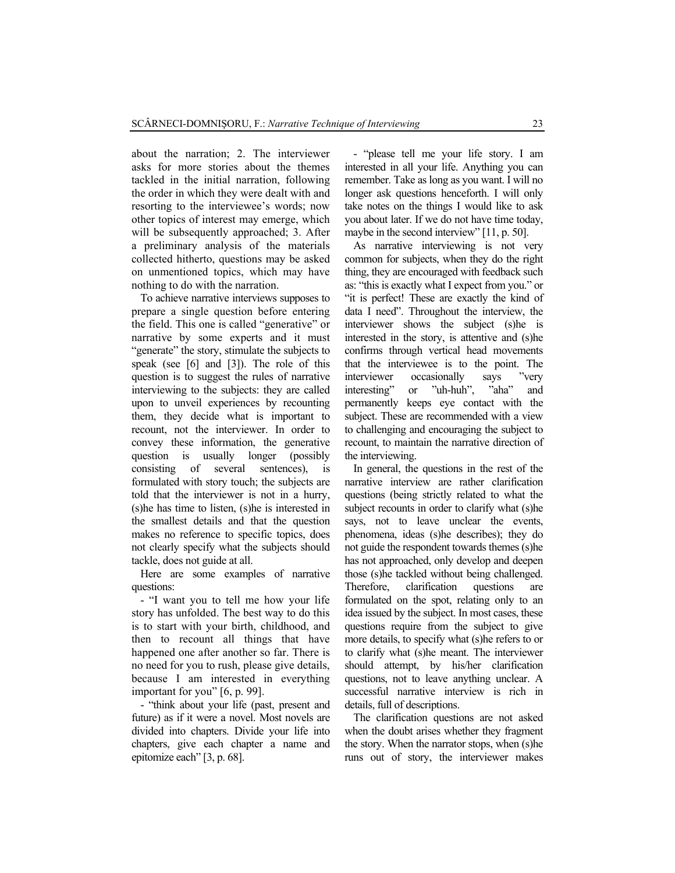about the narration; 2. The interviewer asks for more stories about the themes tackled in the initial narration, following the order in which they were dealt with and resorting to the interviewee's words; now other topics of interest may emerge, which will be subsequently approached: 3. After a preliminary analysis of the materials collected hitherto, questions may be asked on unmentioned topics, which may have nothing to do with the narration.

To achieve narrative interviews supposes to prepare a single question before entering the field. This one is called "generative" or narrative by some experts and it must "generate" the story, stimulate the subjects to speak (see [6] and [3]). The role of this question is to suggest the rules of narrative interviewing to the subjects: they are called upon to unveil experiences by recounting them, they decide what is important to recount, not the interviewer. In order to convey these information, the generative question is usually longer (possibly consisting of several sentences), is formulated with story touch; the subjects are told that the interviewer is not in a hurry, (s)he has time to listen, (s)he is interested in the smallest details and that the question makes no reference to specific topics, does not clearly specify what the subjects should tackle, does not guide at all.

Here are some examples of narrative questions:

- "I want you to tell me how your life story has unfolded. The best way to do this is to start with your birth, childhood, and then to recount all things that have happened one after another so far. There is no need for you to rush, please give details, because I am interested in everything important for you" [6, p. 99].

- "think about your life (past, present and future) as if it were a novel. Most novels are divided into chapters. Divide your life into chapters, give each chapter a name and epitomize each" [3, p. 68].

- "please tell me your life story. I am interested in all your life. Anything you can remember. Take as long as you want. I will no longer ask questions henceforth. I will only take notes on the things I would like to ask you about later. If we do not have time today, maybe in the second interview" [11, p. 50].

As narrative interviewing is not very common for subjects, when they do the right thing, they are encouraged with feedback such as: "this is exactly what I expect from you." or "it is perfect! These are exactly the kind of data I need". Throughout the interview, the interviewer shows the subject (s)he is interested in the story, is attentive and (s)he confirms through vertical head movements that the interviewee is to the point. The interviewer occasionally says "very interesting" or "uh-huh", "aha" and permanently keeps eye contact with the subject. These are recommended with a view to challenging and encouraging the subject to recount, to maintain the narrative direction of the interviewing.

In general, the questions in the rest of the narrative interview are rather clarification questions (being strictly related to what the subject recounts in order to clarify what (s)he says, not to leave unclear the events, phenomena, ideas (s)he describes); they do not guide the respondent towards themes (s)he has not approached, only develop and deepen those (s)he tackled without being challenged. Therefore, clarification questions are formulated on the spot, relating only to an idea issued by the subject. In most cases, these questions require from the subject to give more details, to specify what (s)he refers to or to clarify what (s)he meant. The interviewer should attempt, by his/her clarification questions, not to leave anything unclear. A successful narrative interview is rich in details, full of descriptions.

The clarification questions are not asked when the doubt arises whether they fragment the story. When the narrator stops, when (s)he runs out of story, the interviewer makes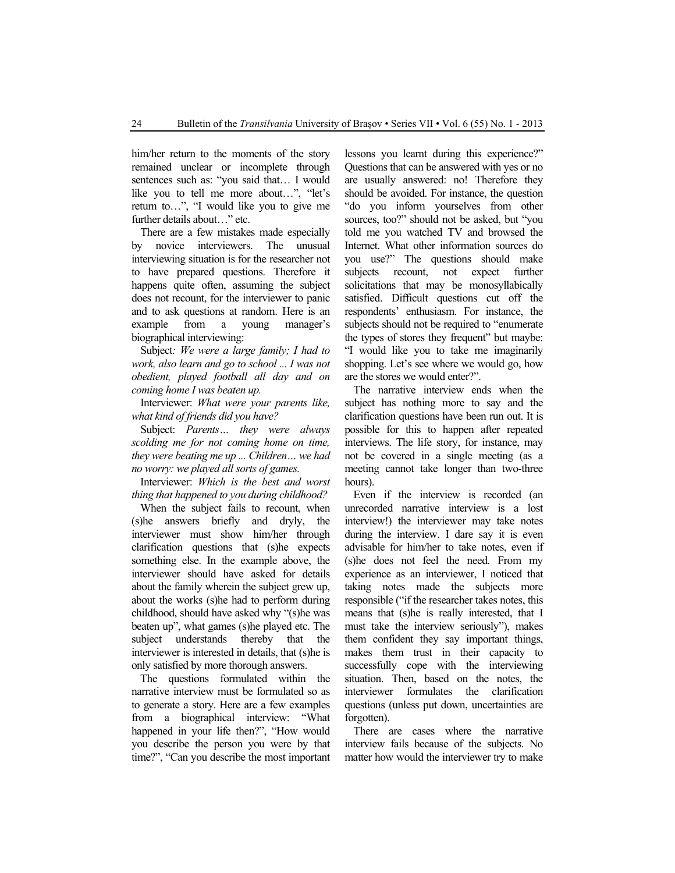him/her return to the moments of the story remained unclear or incomplete through sentences such as: "you said that... I would like you to tell me more about…", "let's return to…", "I would like you to give me further details about…" etc.

There are a few mistakes made especially by novice interviewers. The unusual interviewing situation is for the researcher not to have prepared questions. Therefore it happens quite often, assuming the subject does not recount, for the interviewer to panic and to ask questions at random. Here is an example from a young manager's biographical interviewing:

Subject*: We were a large family; I had to work, also learn and go to school ... I was not obedient, played football all day and on coming home I was beaten up.*

Interviewer: *What were your parents like, what kind of friends did you have?* 

Subject: *Parents… they were always scolding me for not coming home on time, they were beating me up ... Children… we had no worry: we played all sorts of games.*

Interviewer: *Which is the best and worst thing that happened to you during childhood?* 

When the subject fails to recount, when (s)he answers briefly and dryly, the interviewer must show him/her through clarification questions that (s)he expects something else. In the example above, the interviewer should have asked for details about the family wherein the subject grew up, about the works (s)he had to perform during childhood, should have asked why "(s)he was beaten up", what games (s)he played etc. The subject understands thereby that the interviewer is interested in details, that (s)he is only satisfied by more thorough answers.

The questions formulated within the narrative interview must be formulated so as to generate a story. Here are a few examples from a biographical interview: "What happened in your life then?", "How would you describe the person you were by that time?", "Can you describe the most important lessons you learnt during this experience?" Questions that can be answered with yes or no are usually answered: no! Therefore they should be avoided. For instance, the question "do you inform yourselves from other sources, too?" should not be asked, but "you told me you watched TV and browsed the Internet. What other information sources do you use?" The questions should make subjects recount, not expect further solicitations that may be monosyllabically satisfied. Difficult questions cut off the respondents' enthusiasm. For instance, the subjects should not be required to "enumerate the types of stores they frequent" but maybe: "I would like you to take me imaginarily shopping. Let's see where we would go, how are the stores we would enter?".

The narrative interview ends when the subject has nothing more to say and the clarification questions have been run out. It is possible for this to happen after repeated interviews. The life story, for instance, may not be covered in a single meeting (as a meeting cannot take longer than two-three hours).

Even if the interview is recorded (an unrecorded narrative interview is a lost interview!) the interviewer may take notes during the interview. I dare say it is even advisable for him/her to take notes, even if (s)he does not feel the need. From my experience as an interviewer, I noticed that taking notes made the subjects more responsible ("if the researcher takes notes, this means that (s)he is really interested, that I must take the interview seriously"), makes them confident they say important things, makes them trust in their capacity to successfully cope with the interviewing situation. Then, based on the notes, the interviewer formulates the clarification questions (unless put down, uncertainties are forgotten).

There are cases where the narrative interview fails because of the subjects. No matter how would the interviewer try to make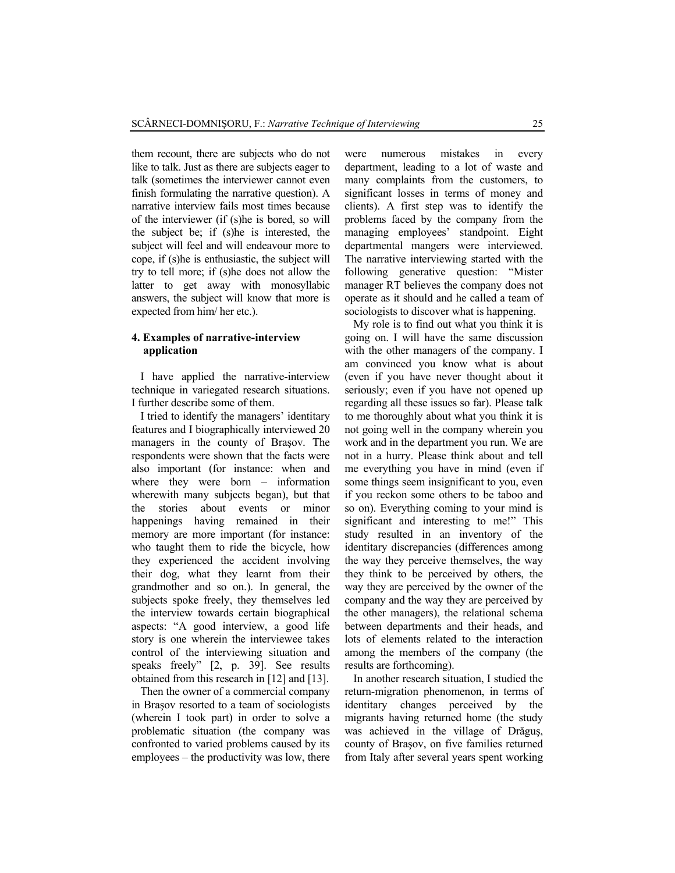them recount, there are subjects who do not like to talk. Just as there are subjects eager to talk (sometimes the interviewer cannot even finish formulating the narrative question). A narrative interview fails most times because of the interviewer (if (s)he is bored, so will the subject be; if (s)he is interested, the subject will feel and will endeavour more to cope, if (s)he is enthusiastic, the subject will try to tell more; if (s)he does not allow the latter to get away with monosyllabic answers, the subject will know that more is expected from him/ her etc.).

## **4. Examples of narrative-interview application**

I have applied the narrative-interview technique in variegated research situations. I further describe some of them.

I tried to identify the managers' identitary features and I biographically interviewed 20 managers in the county of Braşov. The respondents were shown that the facts were also important (for instance: when and where they were born – information wherewith many subjects began), but that the stories about events or minor happenings having remained in their memory are more important (for instance: who taught them to ride the bicycle, how they experienced the accident involving their dog, what they learnt from their grandmother and so on.). In general, the subjects spoke freely, they themselves led the interview towards certain biographical aspects: "A good interview, a good life story is one wherein the interviewee takes control of the interviewing situation and speaks freely" [2, p. 39]. See results obtained from this research in [12] and [13].

Then the owner of a commercial company in Braşov resorted to a team of sociologists (wherein I took part) in order to solve a problematic situation (the company was confronted to varied problems caused by its employees – the productivity was low, there were numerous mistakes in every department, leading to a lot of waste and many complaints from the customers, to significant losses in terms of money and clients). A first step was to identify the problems faced by the company from the managing employees' standpoint. Eight departmental mangers were interviewed. The narrative interviewing started with the following generative question: "Mister manager RT believes the company does not operate as it should and he called a team of sociologists to discover what is happening.

My role is to find out what you think it is going on. I will have the same discussion with the other managers of the company. I am convinced you know what is about (even if you have never thought about it seriously; even if you have not opened up regarding all these issues so far). Please talk to me thoroughly about what you think it is not going well in the company wherein you work and in the department you run. We are not in a hurry. Please think about and tell me everything you have in mind (even if some things seem insignificant to you, even if you reckon some others to be taboo and so on). Everything coming to your mind is significant and interesting to me!" This study resulted in an inventory of the identitary discrepancies (differences among the way they perceive themselves, the way they think to be perceived by others, the way they are perceived by the owner of the company and the way they are perceived by the other managers), the relational schema between departments and their heads, and lots of elements related to the interaction among the members of the company (the results are forthcoming).

In another research situation, I studied the return-migration phenomenon, in terms of identitary changes perceived by the migrants having returned home (the study was achieved in the village of Drăguş, county of Braşov, on five families returned from Italy after several years spent working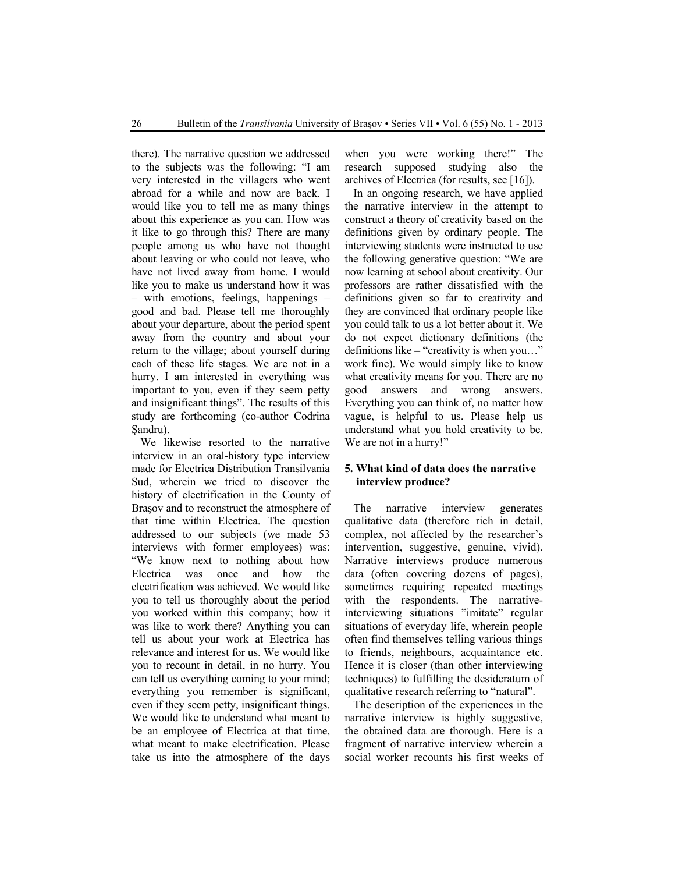there). The narrative question we addressed to the subjects was the following: "I am very interested in the villagers who went abroad for a while and now are back. I would like you to tell me as many things about this experience as you can. How was it like to go through this? There are many people among us who have not thought about leaving or who could not leave, who have not lived away from home. I would like you to make us understand how it was – with emotions, feelings, happenings – good and bad. Please tell me thoroughly about your departure, about the period spent away from the country and about your return to the village; about yourself during each of these life stages. We are not in a hurry. I am interested in everything was important to you, even if they seem petty and insignificant things". The results of this study are forthcoming (co-author Codrina Şandru).

We likewise resorted to the narrative interview in an oral-history type interview made for Electrica Distribution Transilvania Sud, wherein we tried to discover the history of electrification in the County of Braşov and to reconstruct the atmosphere of that time within Electrica. The question addressed to our subjects (we made 53 interviews with former employees) was: "We know next to nothing about how Electrica was once and how the electrification was achieved. We would like you to tell us thoroughly about the period you worked within this company; how it was like to work there? Anything you can tell us about your work at Electrica has relevance and interest for us. We would like you to recount in detail, in no hurry. You can tell us everything coming to your mind; everything you remember is significant, even if they seem petty, insignificant things. We would like to understand what meant to be an employee of Electrica at that time, what meant to make electrification. Please take us into the atmosphere of the days when you were working there!" The research supposed studying also the archives of Electrica (for results, see [16]).

In an ongoing research, we have applied the narrative interview in the attempt to construct a theory of creativity based on the definitions given by ordinary people. The interviewing students were instructed to use the following generative question: "We are now learning at school about creativity. Our professors are rather dissatisfied with the definitions given so far to creativity and they are convinced that ordinary people like you could talk to us a lot better about it. We do not expect dictionary definitions (the definitions like – "creativity is when you…" work fine). We would simply like to know what creativity means for you. There are no good answers and wrong answers. Everything you can think of, no matter how vague, is helpful to us. Please help us understand what you hold creativity to be. We are not in a hurry!"

## **5. What kind of data does the narrative interview produce?**

The narrative interview generates qualitative data (therefore rich in detail, complex, not affected by the researcher's intervention, suggestive, genuine, vivid). Narrative interviews produce numerous data (often covering dozens of pages), sometimes requiring repeated meetings with the respondents. The narrativeinterviewing situations "imitate" regular situations of everyday life, wherein people often find themselves telling various things to friends, neighbours, acquaintance etc. Hence it is closer (than other interviewing techniques) to fulfilling the desideratum of qualitative research referring to "natural".

The description of the experiences in the narrative interview is highly suggestive, the obtained data are thorough. Here is a fragment of narrative interview wherein a social worker recounts his first weeks of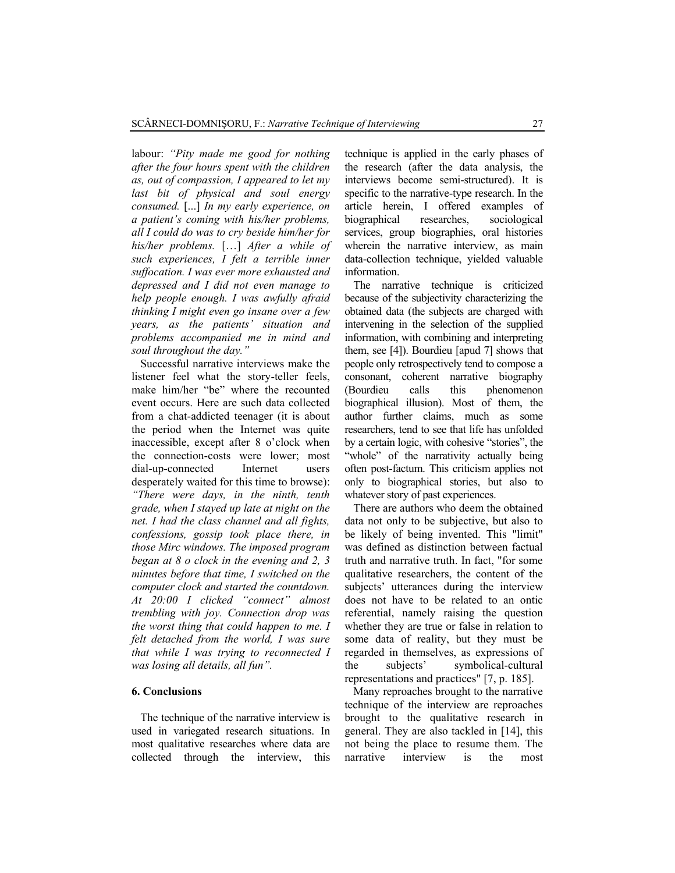labour: *"Pity made me good for nothing after the four hours spent with the children as, out of compassion, I appeared to let my last bit of physical and soul energy consumed.* [...] *In my early experience, on a patient's coming with his/her problems, all I could do was to cry beside him/her for his/her problems.* […] *After a while of such experiences, I felt a terrible inner suffocation. I was ever more exhausted and depressed and I did not even manage to help people enough. I was awfully afraid thinking I might even go insane over a few years, as the patients' situation and problems accompanied me in mind and soul throughout the day."*

Successful narrative interviews make the listener feel what the story-teller feels, make him/her "be" where the recounted event occurs. Here are such data collected from a chat-addicted teenager (it is about the period when the Internet was quite inaccessible, except after 8 o'clock when the connection-costs were lower; most dial-up-connected Internet users desperately waited for this time to browse): *"There were days, in the ninth, tenth grade, when I stayed up late at night on the net. I had the class channel and all fights, confessions, gossip took place there, in those Mirc windows. The imposed program began at 8 o clock in the evening and 2, 3 minutes before that time, I switched on the computer clock and started the countdown. At 20:00 I clicked "connect" almost trembling with joy. Connection drop was the worst thing that could happen to me. I felt detached from the world, I was sure that while I was trying to reconnected I was losing all details, all fun".*

### **6. Conclusions**

The technique of the narrative interview is used in variegated research situations. In most qualitative researches where data are collected through the interview, this technique is applied in the early phases of the research (after the data analysis, the interviews become semi-structured). It is specific to the narrative-type research. In the article herein, I offered examples of biographical researches, sociological services, group biographies, oral histories wherein the narrative interview, as main data-collection technique, yielded valuable information.

The narrative technique is criticized because of the subjectivity characterizing the obtained data (the subjects are charged with intervening in the selection of the supplied information, with combining and interpreting them, see [4]). Bourdieu [apud 7] shows that people only retrospectively tend to compose a consonant, coherent narrative biography (Bourdieu calls this phenomenon biographical illusion). Most of them, the author further claims, much as some researchers, tend to see that life has unfolded by a certain logic, with cohesive "stories", the "whole" of the narrativity actually being often post-factum. This criticism applies not only to biographical stories, but also to whatever story of past experiences.

There are authors who deem the obtained data not only to be subjective, but also to be likely of being invented. This "limit" was defined as distinction between factual truth and narrative truth. In fact, "for some qualitative researchers, the content of the subjects' utterances during the interview does not have to be related to an ontic referential, namely raising the question whether they are true or false in relation to some data of reality, but they must be regarded in themselves, as expressions of the subjects' symbolical-cultural representations and practices" [7, p. 185].

Many reproaches brought to the narrative technique of the interview are reproaches brought to the qualitative research in general. They are also tackled in [14], this not being the place to resume them. The narrative interview is the most